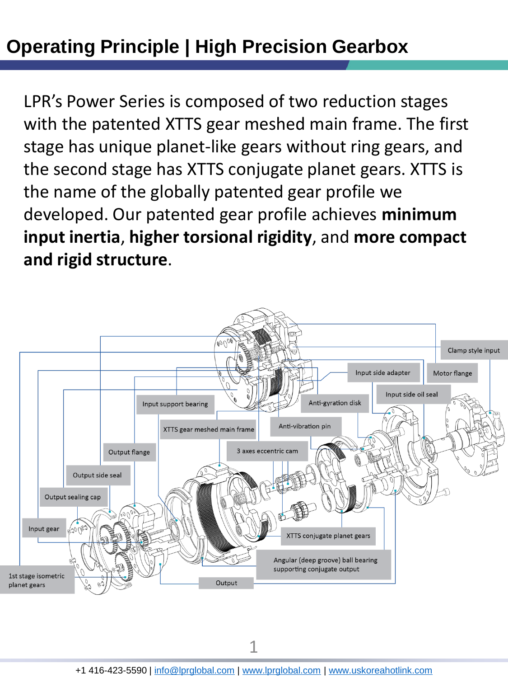## **Operating Principle | High Precision Gearbox**

LPR's Power Series is composed of two reduction stages with the patented XTTS gear meshed main frame. The first stage has unique planet-like gears without ring gears, and the second stage has XTTS conjugate planet gears. XTTS is the name of the globally patented gear profile we developed. Our patented gear profile achieves **minimum input inertia**, **higher torsional rigidity**, and **more compact and rigid structure**.



1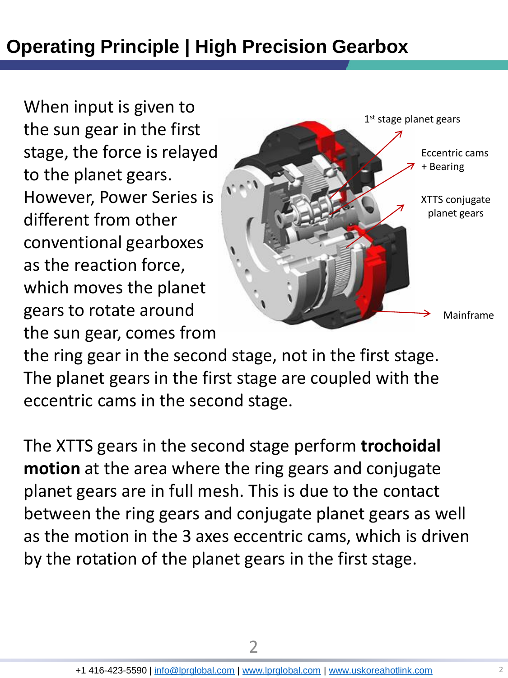## **Operating Principle | High Precision Gearbox**

When input is given to the sun gear in the first stage, the force is relayed to the planet gears. However, Power Series is different from other conventional gearboxes as the reaction force, which moves the planet gears to rotate around the sun gear, comes from



the ring gear in the second stage, not in the first stage. The planet gears in the first stage are coupled with the eccentric cams in the second stage.

The XTTS gears in the second stage perform **trochoidal motion** at the area where the ring gears and conjugate planet gears are in full mesh. This is due to the contact between the ring gears and conjugate planet gears as well as the motion in the 3 axes eccentric cams, which is driven by the rotation of the planet gears in the first stage.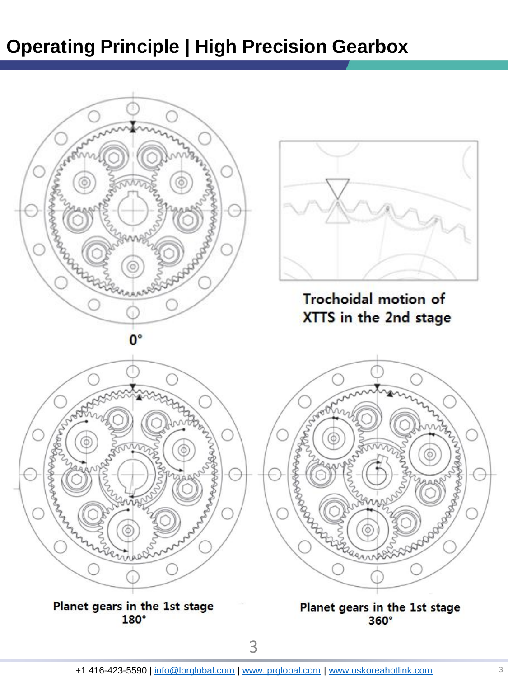## **Operating Principle | High Precision Gearbox**

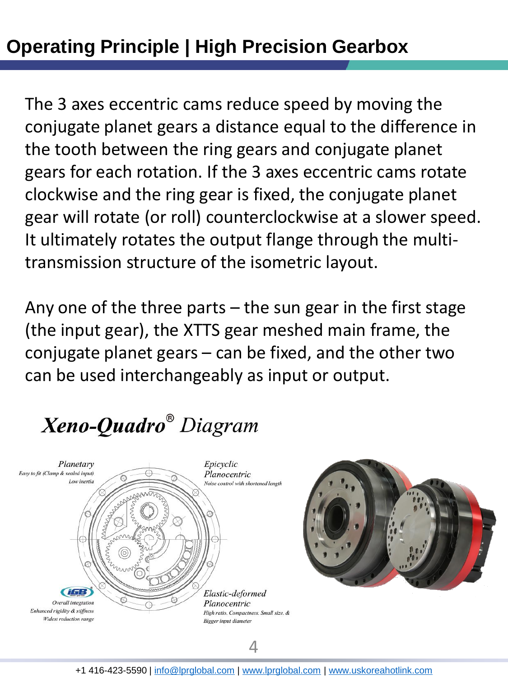The 3 axes eccentric cams reduce speed by moving the conjugate planet gears a distance equal to the difference in the tooth between the ring gears and conjugate planet gears for each rotation. If the 3 axes eccentric cams rotate clockwise and the ring gear is fixed, the conjugate planet gear will rotate (or roll) counterclockwise at a slower speed. It ultimately rotates the output flange through the multitransmission structure of the isometric layout.

Any one of the three parts  $-$  the sun gear in the first stage (the input gear), the XTTS gear meshed main frame, the conjugate planet gears – can be fixed, and the other two can be used interchangeably as input or output.

Xeno-Quadro<sup>®</sup> Diagram





4